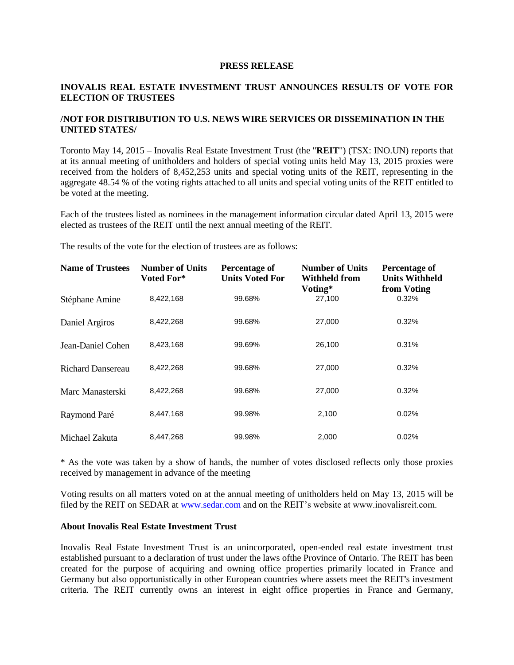## **PRESS RELEASE**

## **INOVALIS REAL ESTATE INVESTMENT TRUST ANNOUNCES RESULTS OF VOTE FOR ELECTION OF TRUSTEES**

## **/NOT FOR DISTRIBUTION TO U.S. NEWS WIRE SERVICES OR DISSEMINATION IN THE UNITED STATES/**

Toronto May 14, 2015 – Inovalis Real Estate Investment Trust (the "**REIT**") (TSX: INO.UN) reports that at its annual meeting of unitholders and holders of special voting units held May 13, 2015 proxies were received from the holders of 8,452,253 units and special voting units of the REIT, representing in the aggregate 48.54 % of the voting rights attached to all units and special voting units of the REIT entitled to be voted at the meeting.

Each of the trustees listed as nominees in the management information circular dated April 13, 2015 were elected as trustees of the REIT until the next annual meeting of the REIT.

The results of the vote for the election of trustees are as follows:

| <b>Name of Trustees</b>  | <b>Number of Units</b><br>Voted For* | Percentage of<br><b>Units Voted For</b> | <b>Number of Units</b><br><b>Withheld from</b><br>Voting* | Percentage of<br><b>Units Withheld</b><br>from Voting |
|--------------------------|--------------------------------------|-----------------------------------------|-----------------------------------------------------------|-------------------------------------------------------|
| Stéphane Amine           | 8,422,168                            | 99.68%                                  | 27,100                                                    | 0.32%                                                 |
| Daniel Argiros           | 8,422,268                            | 99.68%                                  | 27,000                                                    | 0.32%                                                 |
| Jean-Daniel Cohen        | 8,423,168                            | 99.69%                                  | 26,100                                                    | 0.31%                                                 |
| <b>Richard Dansereau</b> | 8,422,268                            | 99.68%                                  | 27,000                                                    | 0.32%                                                 |
| Marc Manasterski         | 8,422,268                            | 99.68%                                  | 27,000                                                    | 0.32%                                                 |
| Raymond Paré             | 8,447,168                            | 99.98%                                  | 2,100                                                     | 0.02%                                                 |
| Michael Zakuta           | 8.447.268                            | 99.98%                                  | 2,000                                                     | 0.02%                                                 |

\* As the vote was taken by a show of hands, the number of votes disclosed reflects only those proxies received by management in advance of the meeting

Voting results on all matters voted on at the annual meeting of unitholders held on May 13, 2015 will be filed by the REIT on SEDAR at www.sedar.com and on the REIT's website at www.inovalisreit.com.

## **About Inovalis Real Estate Investment Trust**

Inovalis Real Estate Investment Trust is an unincorporated, open-ended real estate investment trust established pursuant to a declaration of trust under the laws ofthe Province of Ontario. The REIT has been created for the purpose of acquiring and owning office properties primarily located in France and Germany but also opportunistically in other European countries where assets meet the REIT's investment criteria. The REIT currently owns an interest in eight office properties in France and Germany,